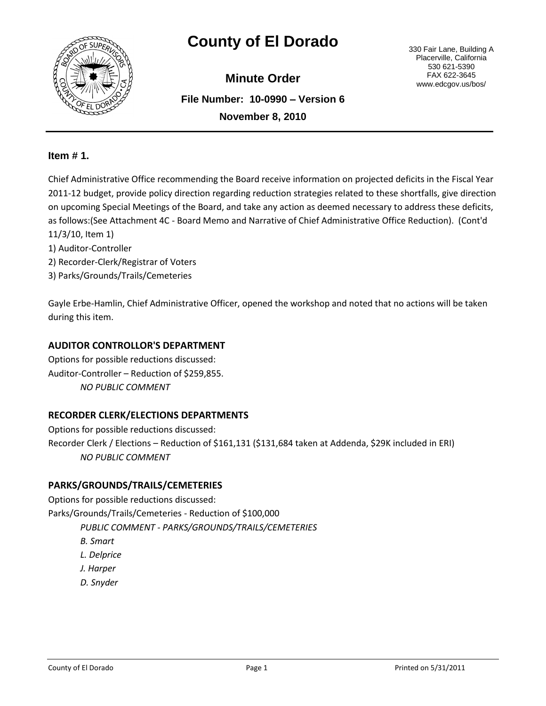

# **County of El Dorado** 330 Fair Lane, Building A

**File Number: 10-0990 – Version 6 November 8, 2010 Minute Order**

Placerville, California 530 621-5390 FAX 622-3645 www.edcgov.us/bos/

## **Item # 1.**

Chief Administrative Office recommending the Board receive information on projected deficits in the Fiscal Year 2011-12 budget, provide policy direction regarding reduction strategies related to these shortfalls, give direction on upcoming Special Meetings of the Board, and take any action as deemed necessary to address these deficits, as follows:(See Attachment 4C - Board Memo and Narrative of Chief Administrative Office Reduction). (Cont'd 11/3/10, Item 1)

- 1) Auditor-Controller
- 2) Recorder-Clerk/Registrar of Voters
- 3) Parks/Grounds/Trails/Cemeteries

Gayle Erbe-Hamlin, Chief Administrative Officer, opened the workshop and noted that no actions will be taken during this item.

### **AUDITOR CONTROLLOR'S DEPARTMENT**

Options for possible reductions discussed: Auditor-Controller – Reduction of \$259,855. *NO PUBLIC COMMENT*

### **RECORDER CLERK/ELECTIONS DEPARTMENTS**

Options for possible reductions discussed: Recorder Clerk / Elections – Reduction of \$161,131 (\$131,684 taken at Addenda, \$29K included in ERI) *NO PUBLIC COMMENT*

### **PARKS/GROUNDS/TRAILS/CEMETERIES**

Options for possible reductions discussed: Parks/Grounds/Trails/Cemeteries - Reduction of \$100,000 *PUBLIC COMMENT - PARKS/GROUNDS/TRAILS/CEMETERIES B. Smart L. Delprice J. Harper D. Snyder*